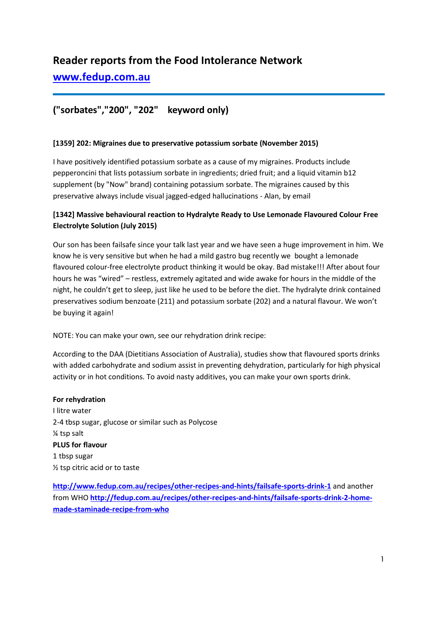# **Reader reports from the Food Intolerance Network**

**[www.fedup.com.au](http://www.fedup.com.au/)**

## **("sorbates","200", "202" keyword only)**

### **[1359] 202: Migraines due to preservative potassium sorbate (November 2015)**

I have positively identified potassium sorbate as a cause of my migraines. Products include pepperoncini that lists potassium sorbate in ingredients; dried fruit; and a liquid vitamin b12 supplement (by "Now" brand) containing potassium sorbate. The migraines caused by this preservative always include visual jagged-edged hallucinations - Alan, by email

### **[1342] Massive behavioural reaction to Hydralyte Ready to Use Lemonade Flavoured Colour Free Electrolyte Solution (July 2015)**

Our son has been failsafe since your talk last year and we have seen a huge improvement in him. We know he is very sensitive but when he had a mild gastro bug recently we bought a lemonade flavoured colour-free electrolyte product thinking it would be okay. Bad mistake!!! After about four hours he was "wired" – restless, extremely agitated and wide awake for hours in the middle of the night, he couldn't get to sleep, just like he used to be before the diet. The hydralyte drink contained preservatives sodium benzoate (211) and potassium sorbate (202) and a natural flavour. We won't be buying it again!

NOTE: You can make your own, see our rehydration drink recipe:

According to the DAA (Dietitians Association of Australia), studies show that flavoured sports drinks with added carbohydrate and sodium assist in preventing dehydration, particularly for high physical activity or in hot conditions. To avoid nasty additives, you can make your own sports drink.

**For rehydration** I litre water 2-4 tbsp sugar, glucose or similar such as Polycose ¼ tsp salt **PLUS for flavour** 1 tbsp sugar ½ tsp citric acid or to taste

**[http://www.fedup.com.au/recipes/other-recipes-and-hints/failsafe-sports-drink-1](http://fedup.com.au/recipes/other-recipes-and-hints/failsafe-sports-drink-1)** and another from WHO **[http://fedup.com.au/recipes/other-recipes-and-hints/failsafe-sports-drink-2-home](http://fedup.com.au/recipes/other-recipes-and-hints/failsafe-sports-drink-2-home-made-staminade-recipe-from-who)[made-staminade-recipe-from-who](http://fedup.com.au/recipes/other-recipes-and-hints/failsafe-sports-drink-2-home-made-staminade-recipe-from-who)**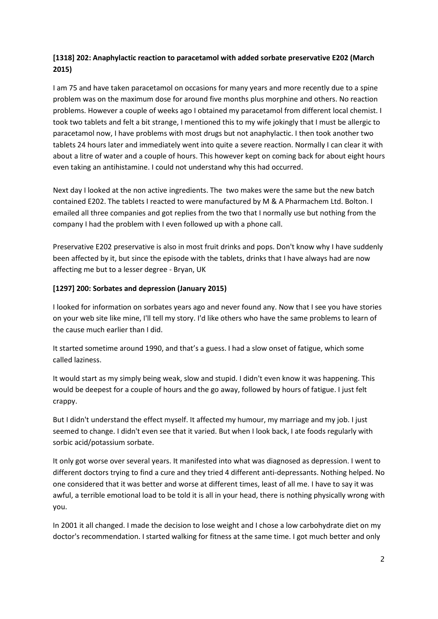### **[1318] 202: Anaphylactic reaction to paracetamol with added sorbate preservative E202 (March 2015)**

I am 75 and have taken paracetamol on occasions for many years and more recently due to a spine problem was on the maximum dose for around five months plus morphine and others. No reaction problems. However a couple of weeks ago I obtained my paracetamol from different local chemist. I took two tablets and felt a bit strange, I mentioned this to my wife jokingly that I must be allergic to paracetamol now, I have problems with most drugs but not anaphylactic. I then took another two tablets 24 hours later and immediately went into quite a severe reaction. Normally I can clear it with about a litre of water and a couple of hours. This however kept on coming back for about eight hours even taking an antihistamine. I could not understand why this had occurred.

Next day I looked at the non active ingredients. The two makes were the same but the new batch contained E202. The tablets I reacted to were manufactured by M & A Pharmachem Ltd. Bolton. I emailed all three companies and got replies from the two that I normally use but nothing from the company I had the problem with I even followed up with a phone call.

Preservative E202 preservative is also in most fruit drinks and pops. Don't know why I have suddenly been affected by it, but since the episode with the tablets, drinks that I have always had are now affecting me but to a lesser degree - Bryan, UK

### **[1297] 200: Sorbates and depression (January 2015)**

I looked for information on sorbates years ago and never found any. Now that I see you have stories on your web site like mine, I'll tell my story. I'd like others who have the same problems to learn of the cause much earlier than I did.

It started sometime around 1990, and that's a guess. I had a slow onset of fatigue, which some called laziness.

It would start as my simply being weak, slow and stupid. I didn't even know it was happening. This would be deepest for a couple of hours and the go away, followed by hours of fatigue. I just felt crappy.

But I didn't understand the effect myself. It affected my humour, my marriage and my job. I just seemed to change. I didn't even see that it varied. But when I look back, I ate foods regularly with sorbic acid/potassium sorbate.

It only got worse over several years. It manifested into what was diagnosed as depression. I went to different doctors trying to find a cure and they tried 4 different anti-depressants. Nothing helped. No one considered that it was better and worse at different times, least of all me. I have to say it was awful, a terrible emotional load to be told it is all in your head, there is nothing physically wrong with you.

In 2001 it all changed. I made the decision to lose weight and I chose a low carbohydrate diet on my doctor's recommendation. I started walking for fitness at the same time. I got much better and only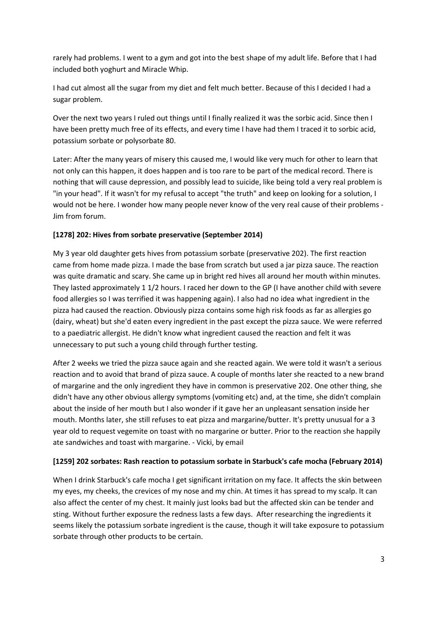rarely had problems. I went to a gym and got into the best shape of my adult life. Before that I had included both yoghurt and Miracle Whip.

I had cut almost all the sugar from my diet and felt much better. Because of this I decided I had a sugar problem.

Over the next two years I ruled out things until I finally realized it was the sorbic acid. Since then I have been pretty much free of its effects, and every time I have had them I traced it to sorbic acid, potassium sorbate or polysorbate 80.

Later: After the many years of misery this caused me, I would like very much for other to learn that not only can this happen, it does happen and is too rare to be part of the medical record. There is nothing that will cause depression, and possibly lead to suicide, like being told a very real problem is "in your head". If it wasn't for my refusal to accept "the truth" and keep on looking for a solution, I would not be here. I wonder how many people never know of the very real cause of their problems - Jim from forum.

### **[1278] 202: Hives from sorbate preservative (September 2014)**

My 3 year old daughter gets hives from potassium sorbate (preservative 202). The first reaction came from home made pizza. I made the base from scratch but used a jar pizza sauce. The reaction was quite dramatic and scary. She came up in bright red hives all around her mouth within minutes. They lasted approximately 1 1/2 hours. I raced her down to the GP (I have another child with severe food allergies so I was terrified it was happening again). I also had no idea what ingredient in the pizza had caused the reaction. Obviously pizza contains some high risk foods as far as allergies go (dairy, wheat) but she'd eaten every ingredient in the past except the pizza sauce. We were referred to a paediatric allergist. He didn't know what ingredient caused the reaction and felt it was unnecessary to put such a young child through further testing.

After 2 weeks we tried the pizza sauce again and she reacted again. We were told it wasn't a serious reaction and to avoid that brand of pizza sauce. A couple of months later she reacted to a new brand of margarine and the only ingredient they have in common is preservative 202. One other thing, she didn't have any other obvious allergy symptoms (vomiting etc) and, at the time, she didn't complain about the inside of her mouth but I also wonder if it gave her an unpleasant sensation inside her mouth. Months later, she still refuses to eat pizza and margarine/butter. It's pretty unusual for a 3 year old to request vegemite on toast with no margarine or butter. Prior to the reaction she happily ate sandwiches and toast with margarine. - Vicki, by email

### **[1259] 202 sorbates: Rash reaction to potassium sorbate in Starbuck's cafe mocha (February 2014)**

When I drink Starbuck's cafe mocha I get significant irritation on my face. It affects the skin between my eyes, my cheeks, the crevices of my nose and my chin. At times it has spread to my scalp. It can also affect the center of my chest. It mainly just looks bad but the affected skin can be tender and sting. Without further exposure the redness lasts a few days. After researching the ingredients it seems likely the potassium sorbate ingredient is the cause, though it will take exposure to potassium sorbate through other products to be certain.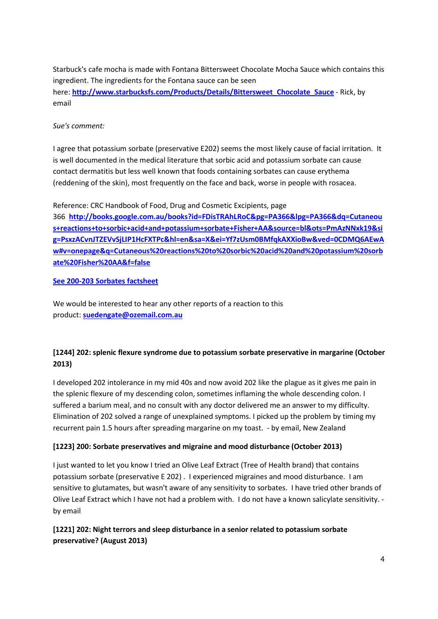Starbuck's cafe mocha is made with Fontana Bittersweet Chocolate Mocha Sauce which contains this ingredient. The ingredients for the Fontana sauce can be seen here: **[http://www.starbucksfs.com/Products/Details/Bittersweet\\_Chocolate\\_Sauce](http://www.starbucksfs.com/Products/Details/Bittersweet_Chocolate_Sauce)** - Rick, by email

### *Sue's comment:*

I agree that potassium sorbate (preservative E202) seems the most likely cause of facial irritation. It is well documented in the medical literature that sorbic acid and potassium sorbate can cause contact dermatitis but less well known that foods containing sorbates can cause erythema (reddening of the skin), most frequently on the face and back, worse in people with rosacea.

Reference: CRC Handbook of Food, Drug and Cosmetic Excipients, page

366 **[http://books.google.com.au/books?id=FDisTRAhLRoC&pg=PA366&lpg=PA366&dq=Cutaneou](http://books.google.com.au/books?id=FDisTRAhLRoC&pg=PA366&lpg=PA366&dq=Cutaneous+reactions+to+sorbic+acid+and+potassium+sorbate+Fisher+AA&source=bl&ots=PmAzNNxk19&sig=PsxzACvnJTZEVvSjLIP1HcFXTPc&hl=en&sa=X&ei=Yf7zUsm0BMfqkAXXioBw&ved=0CDMQ6AEwAw#v=onepage&q=Cutaneous%20reactions%20to%20sorbic%20acid%20and%20potassium%20sorbate%20Fisher%20AA&f=false) [s+reactions+to+sorbic+acid+and+potassium+sorbate+Fisher+AA&source=bl&ots=PmAzNNxk19&si](http://books.google.com.au/books?id=FDisTRAhLRoC&pg=PA366&lpg=PA366&dq=Cutaneous+reactions+to+sorbic+acid+and+potassium+sorbate+Fisher+AA&source=bl&ots=PmAzNNxk19&sig=PsxzACvnJTZEVvSjLIP1HcFXTPc&hl=en&sa=X&ei=Yf7zUsm0BMfqkAXXioBw&ved=0CDMQ6AEwAw#v=onepage&q=Cutaneous%20reactions%20to%20sorbic%20acid%20and%20potassium%20sorbate%20Fisher%20AA&f=false) [g=PsxzACvnJTZEVvSjLIP1HcFXTPc&hl=en&sa=X&ei=Yf7zUsm0BMfqkAXXioBw&ved=0CDMQ6AEwA](http://books.google.com.au/books?id=FDisTRAhLRoC&pg=PA366&lpg=PA366&dq=Cutaneous+reactions+to+sorbic+acid+and+potassium+sorbate+Fisher+AA&source=bl&ots=PmAzNNxk19&sig=PsxzACvnJTZEVvSjLIP1HcFXTPc&hl=en&sa=X&ei=Yf7zUsm0BMfqkAXXioBw&ved=0CDMQ6AEwAw#v=onepage&q=Cutaneous%20reactions%20to%20sorbic%20acid%20and%20potassium%20sorbate%20Fisher%20AA&f=false) [w#v=onepage&q=Cutaneous%20reactions%20to%20sorbic%20acid%20and%20potassium%20sorb](http://books.google.com.au/books?id=FDisTRAhLRoC&pg=PA366&lpg=PA366&dq=Cutaneous+reactions+to+sorbic+acid+and+potassium+sorbate+Fisher+AA&source=bl&ots=PmAzNNxk19&sig=PsxzACvnJTZEVvSjLIP1HcFXTPc&hl=en&sa=X&ei=Yf7zUsm0BMfqkAXXioBw&ved=0CDMQ6AEwAw#v=onepage&q=Cutaneous%20reactions%20to%20sorbic%20acid%20and%20potassium%20sorbate%20Fisher%20AA&f=false) [ate%20Fisher%20AA&f=false](http://books.google.com.au/books?id=FDisTRAhLRoC&pg=PA366&lpg=PA366&dq=Cutaneous+reactions+to+sorbic+acid+and+potassium+sorbate+Fisher+AA&source=bl&ots=PmAzNNxk19&sig=PsxzACvnJTZEVvSjLIP1HcFXTPc&hl=en&sa=X&ei=Yf7zUsm0BMfqkAXXioBw&ved=0CDMQ6AEwAw#v=onepage&q=Cutaneous%20reactions%20to%20sorbic%20acid%20and%20potassium%20sorbate%20Fisher%20AA&f=false)**

#### **[See 200-203 Sorbates factsheet](http://fedup.com.au/factsheets/additive-and-natural-chemical-factsheets/200-203-sorbates)**

We would be interested to hear any other reports of a reaction to this product: **[suedengate@ozemail.com.au](mailto:suedengate@ozemail.com.au)**

### **[1244] 202: splenic flexure syndrome due to potassium sorbate preservative in margarine (October 2013)**

I developed 202 intolerance in my mid 40s and now avoid 202 like the plague as it gives me pain in the splenic flexure of my descending colon, sometimes inflaming the whole descending colon. I suffered a barium meal, and no consult with any doctor delivered me an answer to my difficulty. Elimination of 202 solved a range of unexplained symptoms. I picked up the problem by timing my recurrent pain 1.5 hours after spreading margarine on my toast. - by email, New Zealand

### **[1223] 200: Sorbate preservatives and migraine and mood disturbance (October 2013)**

I just wanted to let you know I tried an Olive Leaf Extract (Tree of Health brand) that contains potassium sorbate (preservative E 202) . I experienced migraines and mood disturbance. I am sensitive to glutamates, but wasn't aware of any sensitivity to sorbates. I have tried other brands of Olive Leaf Extract which I have not had a problem with. I do not have a known salicylate sensitivity. by email

**[1221] 202: Night terrors and sleep disturbance in a senior related to potassium sorbate preservative? (August 2013)**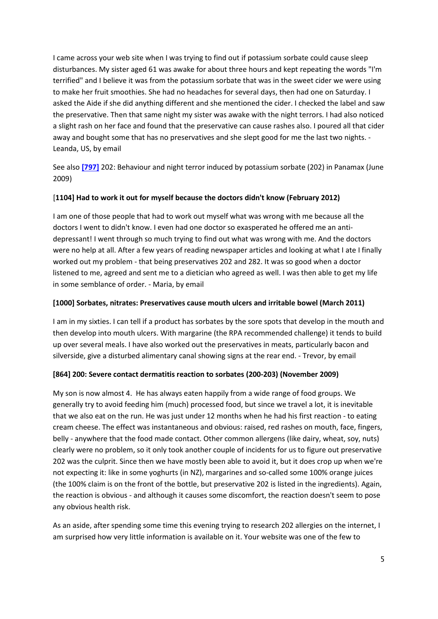I came across your web site when I was trying to find out if potassium sorbate could cause sleep disturbances. My sister aged 61 was awake for about three hours and kept repeating the words "I'm terrified" and I believe it was from the potassium sorbate that was in the sweet cider we were using to make her fruit smoothies. She had no headaches for several days, then had one on Saturday. I asked the Aide if she did anything different and she mentioned the cider. I checked the label and saw the preservative. Then that same night my sister was awake with the night terrors. I had also noticed a slight rash on her face and found that the preservative can cause rashes also. I poured all that cider away and bought some that has no preservatives and she slept good for me the last two nights. -Leanda, US, by email

See also **[\[797\]](http://fedup.com.au/stories/2009/797-202-behaviour-and-night-terror-induced-by-potassium-sorbate-202-in-panamax-june-2009)** 202: Behaviour and night terror induced by potassium sorbate (202) in Panamax (June 2009)

#### [**1104] Had to work it out for myself because the doctors didn't know (February 2012)**

I am one of those people that had to work out myself what was wrong with me because all the doctors I went to didn't know. I even had one doctor so exasperated he offered me an antidepressant! I went through so much trying to find out what was wrong with me. And the doctors were no help at all. After a few years of reading newspaper articles and looking at what I ate I finally worked out my problem - that being preservatives 202 and 282. It was so good when a doctor listened to me, agreed and sent me to a dietician who agreed as well. I was then able to get my life in some semblance of order. - Maria, by email

#### **[1000] Sorbates, nitrates: Preservatives cause mouth ulcers and irritable bowel (March 2011)**

I am in my sixties. I can tell if a product has sorbates by the sore spots that develop in the mouth and then develop into mouth ulcers. With margarine (the RPA recommended challenge) it tends to build up over several meals. I have also worked out the preservatives in meats, particularly bacon and silverside, give a disturbed alimentary canal showing signs at the rear end. - Trevor, by email

### **[864] 200: Severe contact dermatitis reaction to sorbates (200-203) (November 2009)**

My son is now almost 4. He has always eaten happily from a wide range of food groups. We generally try to avoid feeding him (much) processed food, but since we travel a lot, it is inevitable that we also eat on the run. He was just under 12 months when he had his first reaction - to eating cream cheese. The effect was instantaneous and obvious: raised, red rashes on mouth, face, fingers, belly - anywhere that the food made contact. Other common allergens (like dairy, wheat, soy, nuts) clearly were no problem, so it only took another couple of incidents for us to figure out preservative 202 was the culprit. Since then we have mostly been able to avoid it, but it does crop up when we're not expecting it: like in some yoghurts (in NZ), margarines and so-called some 100% orange juices (the 100% claim is on the front of the bottle, but preservative 202 is listed in the ingredients). Again, the reaction is obvious - and although it causes some discomfort, the reaction doesn't seem to pose any obvious health risk.

As an aside, after spending some time this evening trying to research 202 allergies on the internet, I am surprised how very little information is available on it. Your website was one of the few to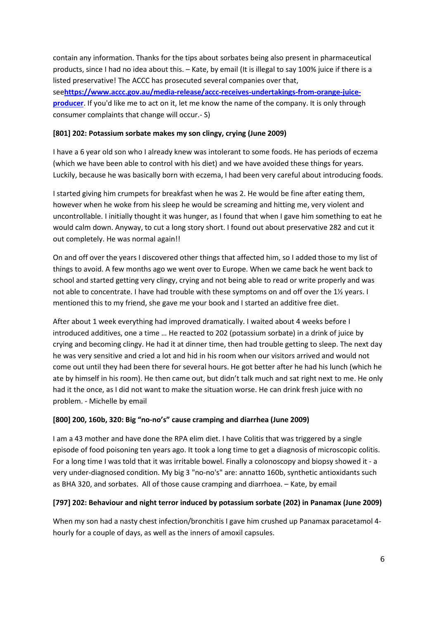contain any information. Thanks for the tips about sorbates being also present in pharmaceutical products, since I had no idea about this. – Kate, by email (It is illegal to say 100% juice if there is a listed preservative! The ACCC has prosecuted several companies over that, see**[https://www.accc.gov.au/media-release/accc-receives-undertakings-from-orange-juice](https://www.accc.gov.au/media-release/accc-receives-undertakings-from-orange-juice-producer)[producer](https://www.accc.gov.au/media-release/accc-receives-undertakings-from-orange-juice-producer)**. If you'd like me to act on it, let me know the name of the company. It is only through consumer complaints that change will occur.- S)

#### **[801] 202: Potassium sorbate makes my son clingy, crying (June 2009)**

I have a 6 year old son who I already knew was intolerant to some foods. He has periods of eczema (which we have been able to control with his diet) and we have avoided these things for years. Luckily, because he was basically born with eczema, I had been very careful about introducing foods.

I started giving him crumpets for breakfast when he was 2. He would be fine after eating them, however when he woke from his sleep he would be screaming and hitting me, very violent and uncontrollable. I initially thought it was hunger, as I found that when I gave him something to eat he would calm down. Anyway, to cut a long story short. I found out about preservative 282 and cut it out completely. He was normal again!!

On and off over the years I discovered other things that affected him, so I added those to my list of things to avoid. A few months ago we went over to Europe. When we came back he went back to school and started getting very clingy, crying and not being able to read or write properly and was not able to concentrate. I have had trouble with these symptoms on and off over the 1½ years. I mentioned this to my friend, she gave me your book and I started an additive free diet.

After about 1 week everything had improved dramatically. I waited about 4 weeks before I introduced additives, one a time … He reacted to 202 (potassium sorbate) in a drink of juice by crying and becoming clingy. He had it at dinner time, then had trouble getting to sleep. The next day he was very sensitive and cried a lot and hid in his room when our visitors arrived and would not come out until they had been there for several hours. He got better after he had his lunch (which he ate by himself in his room). He then came out, but didn't talk much and sat right next to me. He only had it the once, as I did not want to make the situation worse. He can drink fresh juice with no problem. - Michelle by email

### **[800] 200, 160b, 320: Big "no-no's" cause cramping and diarrhea (June 2009)**

I am a 43 mother and have done the RPA elim diet. I have Colitis that was triggered by a single episode of food poisoning ten years ago. It took a long time to get a diagnosis of microscopic colitis. For a long time I was told that it was irritable bowel. Finally a colonoscopy and biopsy showed it - a very under-diagnosed condition. My big 3 "no-no's" are: annatto 160b, synthetic antioxidants such as BHA 320, and sorbates. All of those cause cramping and diarrhoea. – Kate, by email

#### **[797] 202: Behaviour and night terror induced by potassium sorbate (202) in Panamax (June 2009)**

When my son had a nasty chest infection/bronchitis I gave him crushed up Panamax paracetamol 4 hourly for a couple of days, as well as the inners of amoxil capsules.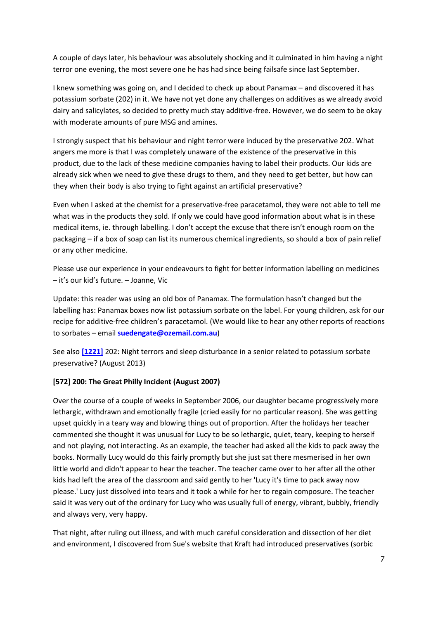A couple of days later, his behaviour was absolutely shocking and it culminated in him having a night terror one evening, the most severe one he has had since being failsafe since last September.

I knew something was going on, and I decided to check up about Panamax – and discovered it has potassium sorbate (202) in it. We have not yet done any challenges on additives as we already avoid dairy and salicylates, so decided to pretty much stay additive-free. However, we do seem to be okay with moderate amounts of pure MSG and amines.

I strongly suspect that his behaviour and night terror were induced by the preservative 202. What angers me more is that I was completely unaware of the existence of the preservative in this product, due to the lack of these medicine companies having to label their products. Our kids are already sick when we need to give these drugs to them, and they need to get better, but how can they when their body is also trying to fight against an artificial preservative?

Even when I asked at the chemist for a preservative-free paracetamol, they were not able to tell me what was in the products they sold. If only we could have good information about what is in these medical items, ie. through labelling. I don't accept the excuse that there isn't enough room on the packaging – if a box of soap can list its numerous chemical ingredients, so should a box of pain relief or any other medicine.

Please use our experience in your endeavours to fight for better information labelling on medicines – it's our kid's future. – Joanne, Vic

Update: this reader was using an old box of Panamax. The formulation hasn't changed but the labelling has: Panamax boxes now list potassium sorbate on the label. For young children, ask for our recipe for additive-free children's paracetamol. (We would like to hear any other reports of reactions to sorbates – email **[suedengate@ozemail.com.au](mailto:suedengate@ozemail.com.au)**)

See also **[\[1221\]](http://fedup.com.au/stories/2013/1221-202-night-terrors-and-sleep-disturbance-in-a-senior-related-to-potassium-sorbate-preservative-august-2013)** 202: Night terrors and sleep disturbance in a senior related to potassium sorbate preservative? (August 2013)

### **[572] 200: The Great Philly Incident (August 2007)**

Over the course of a couple of weeks in September 2006, our daughter became progressively more lethargic, withdrawn and emotionally fragile (cried easily for no particular reason). She was getting upset quickly in a teary way and blowing things out of proportion. After the holidays her teacher commented she thought it was unusual for Lucy to be so lethargic, quiet, teary, keeping to herself and not playing, not interacting. As an example, the teacher had asked all the kids to pack away the books. Normally Lucy would do this fairly promptly but she just sat there mesmerised in her own little world and didn't appear to hear the teacher. The teacher came over to her after all the other kids had left the area of the classroom and said gently to her 'Lucy it's time to pack away now please.' Lucy just dissolved into tears and it took a while for her to regain composure. The teacher said it was very out of the ordinary for Lucy who was usually full of energy, vibrant, bubbly, friendly and always very, very happy.

That night, after ruling out illness, and with much careful consideration and dissection of her diet and environment, I discovered from Sue's website that Kraft had introduced preservatives (sorbic